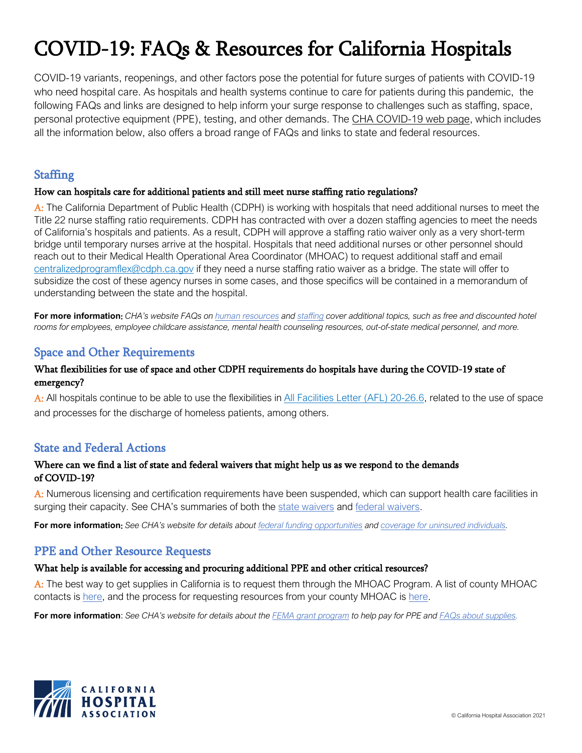# COVID-19: FAQs & Resources for California Hospitals

COVID-19 variants, reopenings, and other factors pose the potential for future surges of patients with COVID-19 who need hospital care. As hospitals and health systems continue to care for patients during this pandemic, the following FAQs and links are designed to help inform your surge response to challenges such as staffing, space, personal protective equipment (PPE), testing, and other demands. The [CHA COVID-19 web page,](https://www.ourcovidresponse.org/) which includes all the information below, also offers a broad range of FAQs and links to state and federal resources.

# **Staffing**

#### How can hospitals care for additional patients and still meet nurse staffing ratio regulations?

A: The California Department of Public Health (CDPH) is working with hospitals that need additional nurses to meet the Title 22 nurse staffing ratio requirements. CDPH has contracted with over a dozen staffing agencies to meet the needs of California's hospitals and patients. As a result, CDPH will approve a staffing ratio waiver only as a very short-term bridge until temporary nurses arrive at the hospital. Hospitals that need additional nurses or other personnel should reach out to their Medical Health Operational Area Coordinator (MHOAC) to request additional staff and email [centralizedprogramflex@cdph.ca.gov](mailto:centralizedprogramflex@cdph.ca.gov) if they need a nurse staffing ratio waiver as a bridge. The state will offer to subsidize the cost of these agency nurses in some cases, and those specifics will be contained in a memorandum of understanding between the state and the hospital.

**For more information**: *CHA's website FAQs o[n human resources](https://www.calhospital.org/faqs-human-resources) and [staffing](https://www.calhospital.org/faqs-staffing) cover additional topics, such as free and discounted hotel rooms for employees, employee childcare assistance, mental health counseling resources, out-of-state medical personnel, and more.*

# Space and Other Requirements

#### What flexibilities for use of space and other CDPH requirements do hospitals have during the COVID-19 state of emergency?

A: All hospitals continue to be able to use the flexibilities in [All Facilities Letter \(AFL\) 20-26.6,](https://www.cdph.ca.gov/Programs/CHCQ/LCP/Pages/AFL-20-26.aspx?_cldee=cmxlZ2FyZUBjYWxob3NwaXRhbC5vcmc%3d&recipientid=contact-75ce4068a114eb11a813000d3a375a4d-cf3449246e8f4785ae50a09d307e5a53&esid=0deb74ff-a465-eb11-a812-002248085df6) related to the use of space and processes for the discharge of homeless patients, among others.

## State and Federal Actions

#### Where can we find a list of state and federal waivers that might help us as we respond to the demands of COVID-19?

A: Numerous licensing and certification requirements have been suspended, which can support health care facilities in surging their capacity. See CHA's summaries of both the [state waivers](https://www.calhospital.org/sites/main/files/file-attachments/state_waivers_10-28-20_final.pdf) and [federal waivers.](https://www.calhospital.org/sites/main/files/file-attachments/federal_waivers_10-28-20_final.pdf)

**For more information**: *See CHA's website for details about [federal funding opportunities](https://www.calhospital.org/sites/main/files/file-attachments/federal_funding_options_050620_final_0.pdf) and [coverage for uninsured individuals.](https://www.calhospital.org/sites/main/files/file-attachments/uninsured_federal_funding_faqs_final_letterhead.pdf)*

# PPE and Other Resource Requests

#### What help is available for accessing and procuring additional PPE and other critical resources?

A: The best way to get supplies in California is to request them through the MHOAC Program. A list of county MHOAC contacts is [here,](https://emsa.ca.gov/medical-health-operational-area-coordinator/) and the process for requesting resources from your county MHOAC is [here.](https://www.calhospital.org/sites/main/files/file-attachments/resource_request_document_final.pdf)

**For more information**: *See CHA's website for details about the [FEMA grant program](https://www.calhospital.org/article/applying-fema-funding-stafford-act-activated) to help pay for PPE and [FAQs about supplies.](https://www.calhospital.org/faqs-supplies)*